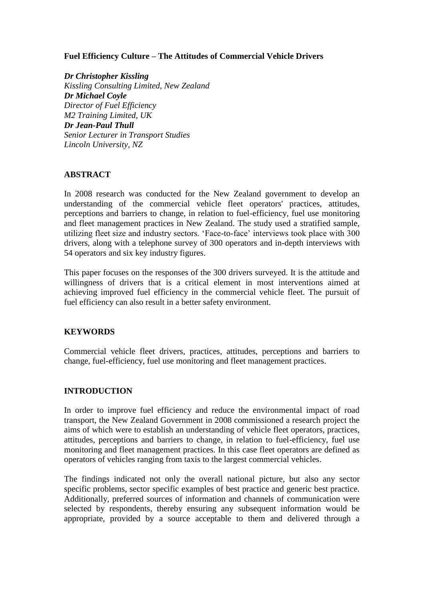### **Fuel Efficiency Culture – The Attitudes of Commercial Vehicle Drivers**

*Dr Christopher Kissling Kissling Consulting Limited, New Zealand Dr Michael Coyle Director of Fuel Efficiency M2 Training Limited, UK Dr Jean-Paul Thull Senior Lecturer in Transport Studies Lincoln University, NZ* 

### **ABSTRACT**

In 2008 research was conducted for the New Zealand government to develop an understanding of the commercial vehicle fleet operators' practices, attitudes, perceptions and barriers to change, in relation to fuel-efficiency, fuel use monitoring and fleet management practices in New Zealand. The study used a stratified sample, utilizing fleet size and industry sectors. "Face-to-face" interviews took place with 300 drivers, along with a telephone survey of 300 operators and in-depth interviews with 54 operators and six key industry figures.

This paper focuses on the responses of the 300 drivers surveyed. It is the attitude and willingness of drivers that is a critical element in most interventions aimed at achieving improved fuel efficiency in the commercial vehicle fleet. The pursuit of fuel efficiency can also result in a better safety environment.

#### **KEYWORDS**

Commercial vehicle fleet drivers, practices, attitudes, perceptions and barriers to change, fuel-efficiency, fuel use monitoring and fleet management practices.

#### **INTRODUCTION**

In order to improve fuel efficiency and reduce the environmental impact of road transport, the New Zealand Government in 2008 commissioned a research project the aims of which were to establish an understanding of vehicle fleet operators, practices, attitudes, perceptions and barriers to change, in relation to fuel-efficiency, fuel use monitoring and fleet management practices. In this case fleet operators are defined as operators of vehicles ranging from taxis to the largest commercial vehicles.

The findings indicated not only the overall national picture, but also any sector specific problems, sector specific examples of best practice and generic best practice. Additionally, preferred sources of information and channels of communication were selected by respondents, thereby ensuring any subsequent information would be appropriate, provided by a source acceptable to them and delivered through a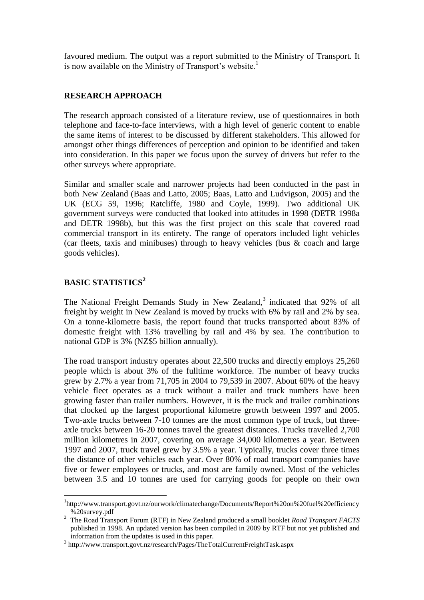favoured medium. The output was a report submitted to the Ministry of Transport. It is now available on the Ministry of Transport's website.<sup>1</sup>

# **RESEARCH APPROACH**

The research approach consisted of a literature review, use of questionnaires in both telephone and face-to-face interviews, with a high level of generic content to enable the same items of interest to be discussed by different stakeholders. This allowed for amongst other things differences of perception and opinion to be identified and taken into consideration. In this paper we focus upon the survey of drivers but refer to the other surveys where appropriate.

Similar and smaller scale and narrower projects had been conducted in the past in both New Zealand (Baas and Latto, 2005; Baas, Latto and Ludvigson, 2005) and the UK (ECG 59, 1996; Ratcliffe, 1980 and Coyle, 1999). Two additional UK government surveys were conducted that looked into attitudes in 1998 (DETR 1998a and DETR 1998b), but this was the first project on this scale that covered road commercial transport in its entirety. The range of operators included light vehicles (car fleets, taxis and minibuses) through to heavy vehicles (bus & coach and large goods vehicles).

# **BASIC STATISTICS<sup>2</sup>**

1

The National Freight Demands Study in New Zealand,<sup>3</sup> indicated that 92% of all freight by weight in New Zealand is moved by trucks with 6% by rail and 2% by sea. On a tonne-kilometre basis, the report found that trucks transported about 83% of domestic freight with 13% travelling by rail and 4% by sea. The contribution to national GDP is 3% (NZ\$5 billion annually).

The road transport industry operates about 22,500 trucks and directly employs 25,260 people which is about 3% of the fulltime workforce. The number of heavy trucks grew by 2.7% a year from 71,705 in 2004 to 79,539 in 2007. About 60% of the heavy vehicle fleet operates as a truck without a trailer and truck numbers have been growing faster than trailer numbers. However, it is the truck and trailer combinations that clocked up the largest proportional kilometre growth between 1997 and 2005. Two-axle trucks between 7-10 tonnes are the most common type of truck, but threeaxle trucks between 16-20 tonnes travel the greatest distances. Trucks travelled 2,700 million kilometres in 2007, covering on average 34,000 kilometres a year. Between 1997 and 2007, truck travel grew by 3.5% a year. Typically, trucks cover three times the distance of other vehicles each year. Over 80% of road transport companies have five or fewer employees or trucks, and most are family owned. Most of the vehicles between 3.5 and 10 tonnes are used for carrying goods for people on their own

<sup>1</sup> http://www.transport.govt.nz/ourwork/climatechange/Documents/Report%20on%20fuel%20efficiency %20survey.pdf

<sup>2</sup> The Road Transport Forum (RTF) in New Zealand produced a small booklet *Road Transport FACTS*  published in 1998. An updated version has been compiled in 2009 by RTF but not yet published and information from the updates is used in this paper.

<sup>3</sup> http://www.transport.govt.nz/research/Pages/TheTotalCurrentFreightTask.aspx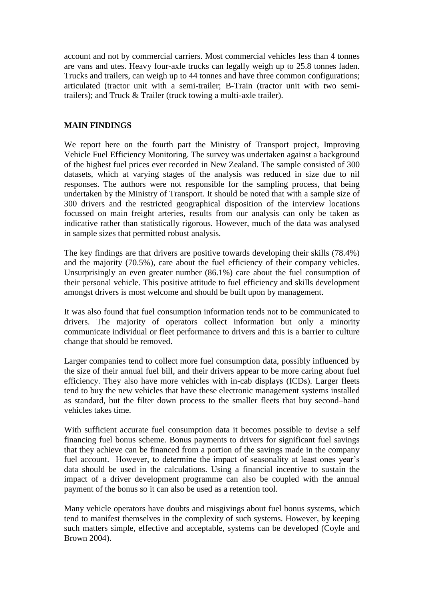account and not by commercial carriers. Most commercial vehicles less than 4 tonnes are vans and utes. Heavy four-axle trucks can legally weigh up to 25.8 tonnes laden. Trucks and trailers, can weigh up to 44 tonnes and have three common configurations; articulated (tractor unit with a semi-trailer; B-Train (tractor unit with two semitrailers); and Truck & Trailer (truck towing a multi-axle trailer).

### **MAIN FINDINGS**

We report here on the fourth part the Ministry of Transport project, Improving Vehicle Fuel Efficiency Monitoring. The survey was undertaken against a background of the highest fuel prices ever recorded in New Zealand. The sample consisted of 300 datasets, which at varying stages of the analysis was reduced in size due to nil responses. The authors were not responsible for the sampling process, that being undertaken by the Ministry of Transport. It should be noted that with a sample size of 300 drivers and the restricted geographical disposition of the interview locations focussed on main freight arteries, results from our analysis can only be taken as indicative rather than statistically rigorous. However, much of the data was analysed in sample sizes that permitted robust analysis.

The key findings are that drivers are positive towards developing their skills (78.4%) and the majority (70.5%), care about the fuel efficiency of their company vehicles. Unsurprisingly an even greater number (86.1%) care about the fuel consumption of their personal vehicle. This positive attitude to fuel efficiency and skills development amongst drivers is most welcome and should be built upon by management.

It was also found that fuel consumption information tends not to be communicated to drivers. The majority of operators collect information but only a minority communicate individual or fleet performance to drivers and this is a barrier to culture change that should be removed.

Larger companies tend to collect more fuel consumption data, possibly influenced by the size of their annual fuel bill, and their drivers appear to be more caring about fuel efficiency. They also have more vehicles with in-cab displays (ICDs). Larger fleets tend to buy the new vehicles that have these electronic management systems installed as standard, but the filter down process to the smaller fleets that buy second–hand vehicles takes time.

With sufficient accurate fuel consumption data it becomes possible to devise a self financing fuel bonus scheme. Bonus payments to drivers for significant fuel savings that they achieve can be financed from a portion of the savings made in the company fuel account. However, to determine the impact of seasonality at least ones year's data should be used in the calculations. Using a financial incentive to sustain the impact of a driver development programme can also be coupled with the annual payment of the bonus so it can also be used as a retention tool.

Many vehicle operators have doubts and misgivings about fuel bonus systems, which tend to manifest themselves in the complexity of such systems. However, by keeping such matters simple, effective and acceptable, systems can be developed (Coyle and Brown 2004).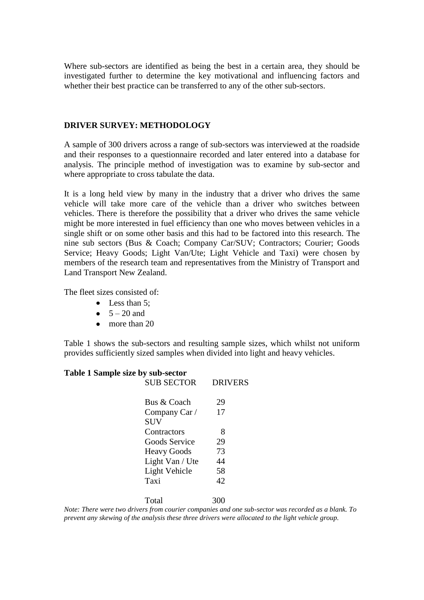Where sub-sectors are identified as being the best in a certain area, they should be investigated further to determine the key motivational and influencing factors and whether their best practice can be transferred to any of the other sub-sectors.

#### **DRIVER SURVEY: METHODOLOGY**

A sample of 300 drivers across a range of sub-sectors was interviewed at the roadside and their responses to a questionnaire recorded and later entered into a database for analysis. The principle method of investigation was to examine by sub-sector and where appropriate to cross tabulate the data.

It is a long held view by many in the industry that a driver who drives the same vehicle will take more care of the vehicle than a driver who switches between vehicles. There is therefore the possibility that a driver who drives the same vehicle might be more interested in fuel efficiency than one who moves between vehicles in a single shift or on some other basis and this had to be factored into this research. The nine sub sectors (Bus & Coach; Company Car/SUV; Contractors; Courier; Goods Service; Heavy Goods; Light Van/Ute; Light Vehicle and Taxi) were chosen by members of the research team and representatives from the Ministry of Transport and Land Transport New Zealand.

The fleet sizes consisted of:

- Less than 5:
- $5 20$  and
- more than 20

Table 1 shows the sub-sectors and resulting sample sizes, which whilst not uniform provides sufficiently sized samples when divided into light and heavy vehicles.

#### **Table 1 Sample size by sub-sector**

| <b>SUB SECTOR</b>  | <b>DRIVERS</b> |
|--------------------|----------------|
| Bus & Coach        | 29             |
| Company Car /      | 17             |
| <b>SUV</b>         |                |
| Contractors        | 8              |
| Goods Service      | 29             |
| <b>Heavy Goods</b> | 73             |
| Light Van / Ute    | 44             |
| Light Vehicle      | 58             |
| Taxi               | 42             |
|                    |                |

Total 300

*Note: There were two drivers from courier companies and one sub-sector was recorded as a blank. To prevent any skewing of the analysis these three drivers were allocated to the light vehicle group.*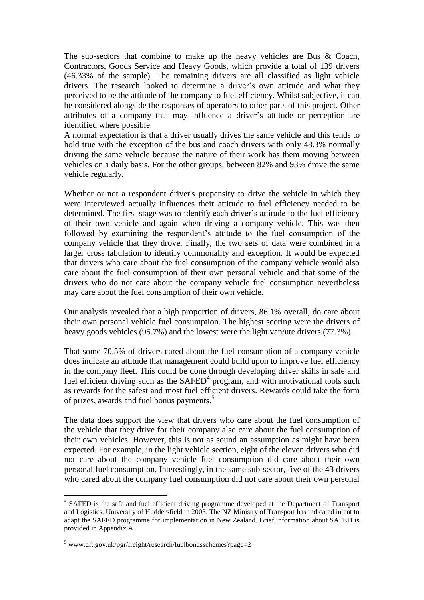The sub-sectors that combine to make up the heavy vehicles are Bus & Coach, Contractors, Goods Service and Heavy Goods, which provide a total of 139 drivers (46.33% of the sample). The remaining drivers are all classified as light vehicle drivers. The research looked to determine a driver's own attitude and what they perceived to be the attitude of the company to fuel efficiency. Whilst subjective, it can be considered alongside the responses of operators to other parts of this project. Other attributes of a company that may influence a driver"s attitude or perception are identified where possible.

A normal expectation is that a driver usually drives the same vehicle and this tends to hold true with the exception of the bus and coach drivers with only 48.3% normally driving the same vehicle because the nature of their work has them moving between vehicles on a daily basis. For the other groups, between 82% and 93% drove the same vehicle regularly.

Whether or not a respondent driver's propensity to drive the vehicle in which they were interviewed actually influences their attitude to fuel efficiency needed to be determined. The first stage was to identify each driver"s attitude to the fuel efficiency of their own vehicle and again when driving a company vehicle. This was then followed by examining the respondent"s attitude to the fuel consumption of the company vehicle that they drove. Finally, the two sets of data were combined in a larger cross tabulation to identify commonality and exception. It would be expected that drivers who care about the fuel consumption of the company vehicle would also care about the fuel consumption of their own personal vehicle and that some of the drivers who do not care about the company vehicle fuel consumption nevertheless may care about the fuel consumption of their own vehicle.

Our analysis revealed that a high proportion of drivers, 86.1% overall, do care about their own personal vehicle fuel consumption. The highest scoring were the drivers of heavy goods vehicles (95.7%) and the lowest were the light van/ute drivers (77.3%).

That some 70.5% of drivers cared about the fuel consumption of a company vehicle does indicate an attitude that management could build upon to improve fuel efficiency in the company fleet. This could be done through developing driver skills in safe and fuel efficient driving such as the  $SAFED<sup>4</sup>$  program, and with motivational tools such as rewards for the safest and most fuel efficient drivers. Rewards could take the form of prizes, awards and fuel bonus payments.<sup>5</sup>

The data does support the view that drivers who care about the fuel consumption of the vehicle that they drive for their company also care about the fuel consumption of their own vehicles. However, this is not as sound an assumption as might have been expected. For example, in the light vehicle section, eight of the eleven drivers who did not care about the company vehicle fuel consumption did care about their own personal fuel consumption. Interestingly, in the same sub-sector, five of the 43 drivers who cared about the company fuel consumption did not care about their own personal

1

<sup>&</sup>lt;sup>4</sup> SAFED is the safe and fuel efficient driving programme developed at the Department of Transport and Logistics, University of Huddersfield in 2003. The NZ Ministry of Transport has indicated intent to adapt the SAFED programme for implementation in New Zealand. Brief information about SAFED is provided in Appendix A.

 $5$  www.dft.gov.uk/pgr/freight/research/fuelbonusschemes?page=2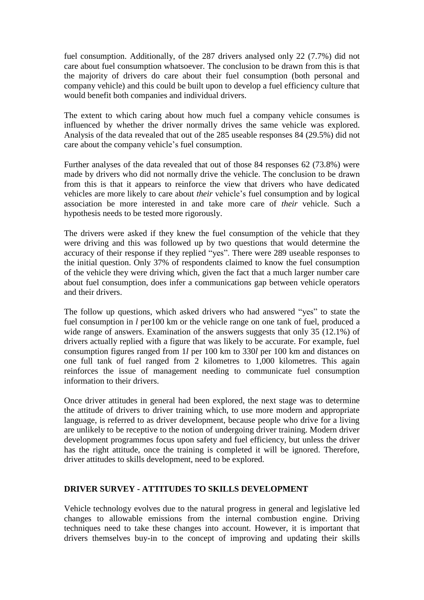fuel consumption. Additionally, of the 287 drivers analysed only 22 (7.7%) did not care about fuel consumption whatsoever. The conclusion to be drawn from this is that the majority of drivers do care about their fuel consumption (both personal and company vehicle) and this could be built upon to develop a fuel efficiency culture that would benefit both companies and individual drivers.

The extent to which caring about how much fuel a company vehicle consumes is influenced by whether the driver normally drives the same vehicle was explored. Analysis of the data revealed that out of the 285 useable responses 84 (29.5%) did not care about the company vehicle"s fuel consumption.

Further analyses of the data revealed that out of those 84 responses 62 (73.8%) were made by drivers who did not normally drive the vehicle. The conclusion to be drawn from this is that it appears to reinforce the view that drivers who have dedicated vehicles are more likely to care about *their* vehicle's fuel consumption and by logical association be more interested in and take more care of *their* vehicle. Such a hypothesis needs to be tested more rigorously.

The drivers were asked if they knew the fuel consumption of the vehicle that they were driving and this was followed up by two questions that would determine the accuracy of their response if they replied "yes". There were 289 useable responses to the initial question. Only 37% of respondents claimed to know the fuel consumption of the vehicle they were driving which, given the fact that a much larger number care about fuel consumption, does infer a communications gap between vehicle operators and their drivers.

The follow up questions, which asked drivers who had answered "yes" to state the fuel consumption in *l* per100 km or the vehicle range on one tank of fuel, produced a wide range of answers. Examination of the answers suggests that only 35 (12.1%) of drivers actually replied with a figure that was likely to be accurate. For example, fuel consumption figures ranged from 1*l* per 100 km to 330*l* per 100 km and distances on one full tank of fuel ranged from 2 kilometres to 1,000 kilometres. This again reinforces the issue of management needing to communicate fuel consumption information to their drivers.

Once driver attitudes in general had been explored, the next stage was to determine the attitude of drivers to driver training which, to use more modern and appropriate language, is referred to as driver development, because people who drive for a living are unlikely to be receptive to the notion of undergoing driver training. Modern driver development programmes focus upon safety and fuel efficiency, but unless the driver has the right attitude, once the training is completed it will be ignored. Therefore, driver attitudes to skills development, need to be explored.

# **DRIVER SURVEY - ATTITUDES TO SKILLS DEVELOPMENT**

Vehicle technology evolves due to the natural progress in general and legislative led changes to allowable emissions from the internal combustion engine. Driving techniques need to take these changes into account. However, it is important that drivers themselves buy-in to the concept of improving and updating their skills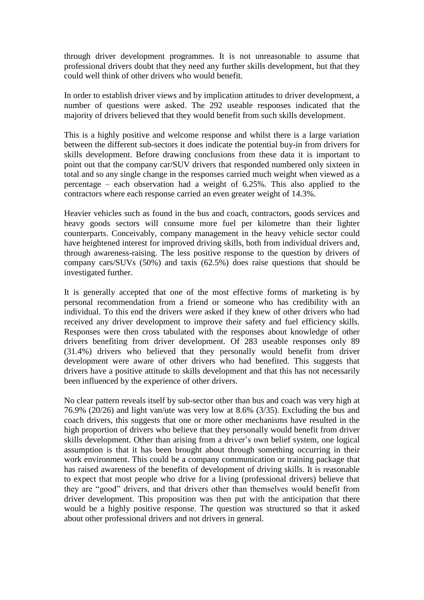through driver development programmes. It is not unreasonable to assume that professional drivers doubt that they need any further skills development, but that they could well think of other drivers who would benefit.

In order to establish driver views and by implication attitudes to driver development, a number of questions were asked. The 292 useable responses indicated that the majority of drivers believed that they would benefit from such skills development.

This is a highly positive and welcome response and whilst there is a large variation between the different sub-sectors it does indicate the potential buy-in from drivers for skills development. Before drawing conclusions from these data it is important to point out that the company car/SUV drivers that responded numbered only sixteen in total and so any single change in the responses carried much weight when viewed as a percentage – each observation had a weight of 6.25%. This also applied to the contractors where each response carried an even greater weight of 14.3%.

Heavier vehicles such as found in the bus and coach, contractors, goods services and heavy goods sectors will consume more fuel per kilometre than their lighter counterparts. Conceivably, company management in the heavy vehicle sector could have heightened interest for improved driving skills, both from individual drivers and, through awareness-raising. The less positive response to the question by drivers of company cars/SUVs (50%) and taxis (62.5%) does raise questions that should be investigated further.

It is generally accepted that one of the most effective forms of marketing is by personal recommendation from a friend or someone who has credibility with an individual. To this end the drivers were asked if they knew of other drivers who had received any driver development to improve their safety and fuel efficiency skills. Responses were then cross tabulated with the responses about knowledge of other drivers benefiting from driver development. Of 283 useable responses only 89 (31.4%) drivers who believed that they personally would benefit from driver development were aware of other drivers who had benefited. This suggests that drivers have a positive attitude to skills development and that this has not necessarily been influenced by the experience of other drivers.

No clear pattern reveals itself by sub-sector other than bus and coach was very high at 76.9% (20/26) and light van/ute was very low at 8.6% (3/35). Excluding the bus and coach drivers, this suggests that one or more other mechanisms have resulted in the high proportion of drivers who believe that they personally would benefit from driver skills development. Other than arising from a driver"s own belief system, one logical assumption is that it has been brought about through something occurring in their work environment. This could be a company communication or training package that has raised awareness of the benefits of development of driving skills. It is reasonable to expect that most people who drive for a living (professional drivers) believe that they are "good" drivers, and that drivers other than themselves would benefit from driver development. This proposition was then put with the anticipation that there would be a highly positive response. The question was structured so that it asked about other professional drivers and not drivers in general.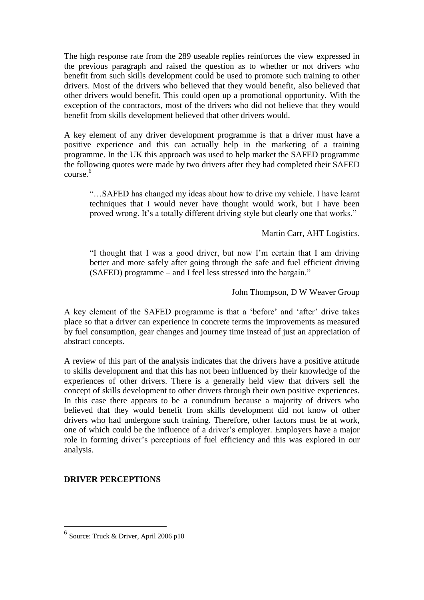The high response rate from the 289 useable replies reinforces the view expressed in the previous paragraph and raised the question as to whether or not drivers who benefit from such skills development could be used to promote such training to other drivers. Most of the drivers who believed that they would benefit, also believed that other drivers would benefit. This could open up a promotional opportunity. With the exception of the contractors, most of the drivers who did not believe that they would benefit from skills development believed that other drivers would.

A key element of any driver development programme is that a driver must have a positive experience and this can actually help in the marketing of a training programme. In the UK this approach was used to help market the SAFED programme the following quotes were made by two drivers after they had completed their SAFED course. 6

"…SAFED has changed my ideas about how to drive my vehicle. I have learnt techniques that I would never have thought would work, but I have been proved wrong. It's a totally different driving style but clearly one that works."

Martin Carr, AHT Logistics.

"I thought that I was a good driver, but now I"m certain that I am driving better and more safely after going through the safe and fuel efficient driving (SAFED) programme – and I feel less stressed into the bargain."

John Thompson, D W Weaver Group

A key element of the SAFED programme is that a "before" and "after" drive takes place so that a driver can experience in concrete terms the improvements as measured by fuel consumption, gear changes and journey time instead of just an appreciation of abstract concepts.

A review of this part of the analysis indicates that the drivers have a positive attitude to skills development and that this has not been influenced by their knowledge of the experiences of other drivers. There is a generally held view that drivers sell the concept of skills development to other drivers through their own positive experiences. In this case there appears to be a conundrum because a majority of drivers who believed that they would benefit from skills development did not know of other drivers who had undergone such training. Therefore, other factors must be at work, one of which could be the influence of a driver"s employer. Employers have a major role in forming driver"s perceptions of fuel efficiency and this was explored in our analysis.

# **DRIVER PERCEPTIONS**

1

 $<sup>6</sup>$  Source: Truck & Driver, April 2006 p10</sup>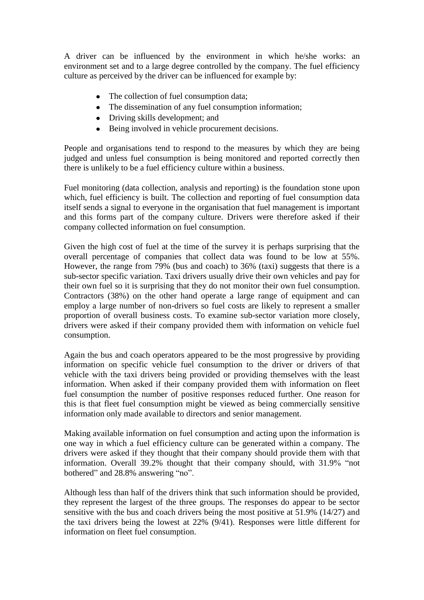A driver can be influenced by the environment in which he/she works: an environment set and to a large degree controlled by the company. The fuel efficiency culture as perceived by the driver can be influenced for example by:

- The collection of fuel consumption data;
- The dissemination of any fuel consumption information;
- Driving skills development; and
- Being involved in vehicle procurement decisions.

People and organisations tend to respond to the measures by which they are being judged and unless fuel consumption is being monitored and reported correctly then there is unlikely to be a fuel efficiency culture within a business.

Fuel monitoring (data collection, analysis and reporting) is the foundation stone upon which, fuel efficiency is built. The collection and reporting of fuel consumption data itself sends a signal to everyone in the organisation that fuel management is important and this forms part of the company culture. Drivers were therefore asked if their company collected information on fuel consumption.

Given the high cost of fuel at the time of the survey it is perhaps surprising that the overall percentage of companies that collect data was found to be low at 55%. However, the range from 79% (bus and coach) to 36% (taxi) suggests that there is a sub-sector specific variation. Taxi drivers usually drive their own vehicles and pay for their own fuel so it is surprising that they do not monitor their own fuel consumption. Contractors (38%) on the other hand operate a large range of equipment and can employ a large number of non-drivers so fuel costs are likely to represent a smaller proportion of overall business costs. To examine sub-sector variation more closely, drivers were asked if their company provided them with information on vehicle fuel consumption.

Again the bus and coach operators appeared to be the most progressive by providing information on specific vehicle fuel consumption to the driver or drivers of that vehicle with the taxi drivers being provided or providing themselves with the least information. When asked if their company provided them with information on fleet fuel consumption the number of positive responses reduced further. One reason for this is that fleet fuel consumption might be viewed as being commercially sensitive information only made available to directors and senior management.

Making available information on fuel consumption and acting upon the information is one way in which a fuel efficiency culture can be generated within a company. The drivers were asked if they thought that their company should provide them with that information. Overall 39.2% thought that their company should, with 31.9% "not bothered" and 28.8% answering "no".

Although less than half of the drivers think that such information should be provided, they represent the largest of the three groups. The responses do appear to be sector sensitive with the bus and coach drivers being the most positive at 51.9% (14/27) and the taxi drivers being the lowest at 22% (9/41). Responses were little different for information on fleet fuel consumption.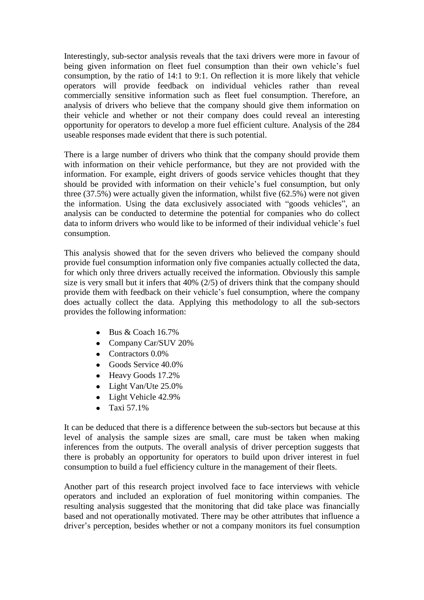Interestingly, sub-sector analysis reveals that the taxi drivers were more in favour of being given information on fleet fuel consumption than their own vehicle's fuel consumption, by the ratio of 14:1 to 9:1. On reflection it is more likely that vehicle operators will provide feedback on individual vehicles rather than reveal commercially sensitive information such as fleet fuel consumption. Therefore, an analysis of drivers who believe that the company should give them information on their vehicle and whether or not their company does could reveal an interesting opportunity for operators to develop a more fuel efficient culture. Analysis of the 284 useable responses made evident that there is such potential.

There is a large number of drivers who think that the company should provide them with information on their vehicle performance, but they are not provided with the information. For example, eight drivers of goods service vehicles thought that they should be provided with information on their vehicle"s fuel consumption, but only three  $(37.5\%)$  were actually given the information, whilst five  $(62.5\%)$  were not given the information. Using the data exclusively associated with "goods vehicles", an analysis can be conducted to determine the potential for companies who do collect data to inform drivers who would like to be informed of their individual vehicle"s fuel consumption.

This analysis showed that for the seven drivers who believed the company should provide fuel consumption information only five companies actually collected the data, for which only three drivers actually received the information. Obviously this sample size is very small but it infers that 40% (2/5) of drivers think that the company should provide them with feedback on their vehicle"s fuel consumption, where the company does actually collect the data. Applying this methodology to all the sub-sectors provides the following information:

- $\bullet$  Bus & Coach 16.7%
- Company Car/SUV 20%
- Contractors 0.0%
- Goods Service 40.0%
- Heavy Goods 17.2%
- Light Van/Ute 25.0%
- Light Vehicle 42.9%
- $\bullet$  Taxi 57.1%

It can be deduced that there is a difference between the sub-sectors but because at this level of analysis the sample sizes are small, care must be taken when making inferences from the outputs. The overall analysis of driver perception suggests that there is probably an opportunity for operators to build upon driver interest in fuel consumption to build a fuel efficiency culture in the management of their fleets.

Another part of this research project involved face to face interviews with vehicle operators and included an exploration of fuel monitoring within companies. The resulting analysis suggested that the monitoring that did take place was financially based and not operationally motivated. There may be other attributes that influence a driver"s perception, besides whether or not a company monitors its fuel consumption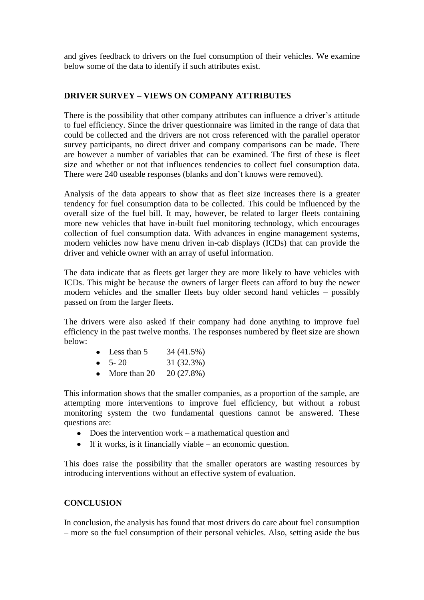and gives feedback to drivers on the fuel consumption of their vehicles. We examine below some of the data to identify if such attributes exist.

# **DRIVER SURVEY – VIEWS ON COMPANY ATTRIBUTES**

There is the possibility that other company attributes can influence a driver's attitude to fuel efficiency. Since the driver questionnaire was limited in the range of data that could be collected and the drivers are not cross referenced with the parallel operator survey participants, no direct driver and company comparisons can be made. There are however a number of variables that can be examined. The first of these is fleet size and whether or not that influences tendencies to collect fuel consumption data. There were 240 useable responses (blanks and don"t knows were removed).

Analysis of the data appears to show that as fleet size increases there is a greater tendency for fuel consumption data to be collected. This could be influenced by the overall size of the fuel bill. It may, however, be related to larger fleets containing more new vehicles that have in-built fuel monitoring technology, which encourages collection of fuel consumption data. With advances in engine management systems, modern vehicles now have menu driven in-cab displays (ICDs) that can provide the driver and vehicle owner with an array of useful information.

The data indicate that as fleets get larger they are more likely to have vehicles with ICDs. This might be because the owners of larger fleets can afford to buy the newer modern vehicles and the smaller fleets buy older second hand vehicles – possibly passed on from the larger fleets.

The drivers were also asked if their company had done anything to improve fuel efficiency in the past twelve months. The responses numbered by fleet size are shown below:

|  | Less than 5 | 34 (41.5%) |
|--|-------------|------------|
|--|-------------|------------|

- $\bullet$  5- 20 31 (32.3%)
- More than  $20 \quad 20 (27.8%)$

This information shows that the smaller companies, as a proportion of the sample, are attempting more interventions to improve fuel efficiency, but without a robust monitoring system the two fundamental questions cannot be answered. These questions are:

- Does the intervention work a mathematical question and
- $\bullet$  If it works, is it financially viable an economic question.

This does raise the possibility that the smaller operators are wasting resources by introducing interventions without an effective system of evaluation.

### **CONCLUSION**

In conclusion, the analysis has found that most drivers do care about fuel consumption – more so the fuel consumption of their personal vehicles. Also, setting aside the bus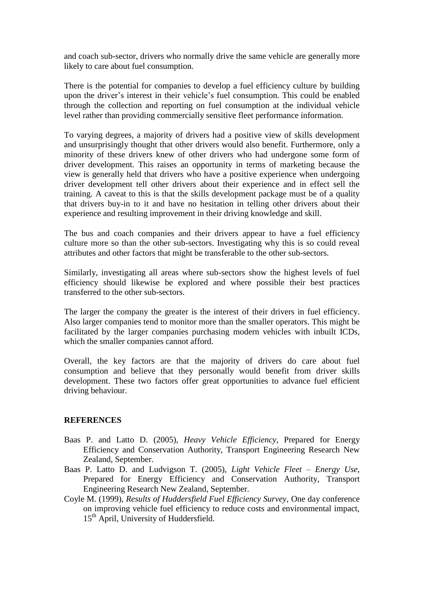and coach sub-sector, drivers who normally drive the same vehicle are generally more likely to care about fuel consumption.

There is the potential for companies to develop a fuel efficiency culture by building upon the driver's interest in their vehicle's fuel consumption. This could be enabled through the collection and reporting on fuel consumption at the individual vehicle level rather than providing commercially sensitive fleet performance information.

To varying degrees, a majority of drivers had a positive view of skills development and unsurprisingly thought that other drivers would also benefit. Furthermore, only a minority of these drivers knew of other drivers who had undergone some form of driver development. This raises an opportunity in terms of marketing because the view is generally held that drivers who have a positive experience when undergoing driver development tell other drivers about their experience and in effect sell the training. A caveat to this is that the skills development package must be of a quality that drivers buy-in to it and have no hesitation in telling other drivers about their experience and resulting improvement in their driving knowledge and skill.

The bus and coach companies and their drivers appear to have a fuel efficiency culture more so than the other sub-sectors. Investigating why this is so could reveal attributes and other factors that might be transferable to the other sub-sectors.

Similarly, investigating all areas where sub-sectors show the highest levels of fuel efficiency should likewise be explored and where possible their best practices transferred to the other sub-sectors.

The larger the company the greater is the interest of their drivers in fuel efficiency. Also larger companies tend to monitor more than the smaller operators. This might be facilitated by the larger companies purchasing modern vehicles with inbuilt ICDs, which the smaller companies cannot afford.

Overall, the key factors are that the majority of drivers do care about fuel consumption and believe that they personally would benefit from driver skills development. These two factors offer great opportunities to advance fuel efficient driving behaviour.

#### **REFERENCES**

- Baas P. and Latto D. (2005), *Heavy Vehicle Efficiency*, Prepared for Energy Efficiency and Conservation Authority, Transport Engineering Research New Zealand, September.
- Baas P. Latto D. and Ludvigson T. (2005), *Light Vehicle Fleet Energy Use*, Prepared for Energy Efficiency and Conservation Authority, Transport Engineering Research New Zealand, September.
- Coyle M. (1999), *Results of Huddersfield Fuel Efficiency Survey*, One day conference on improving vehicle fuel efficiency to reduce costs and environmental impact, 15<sup>th</sup> April, University of Huddersfield.